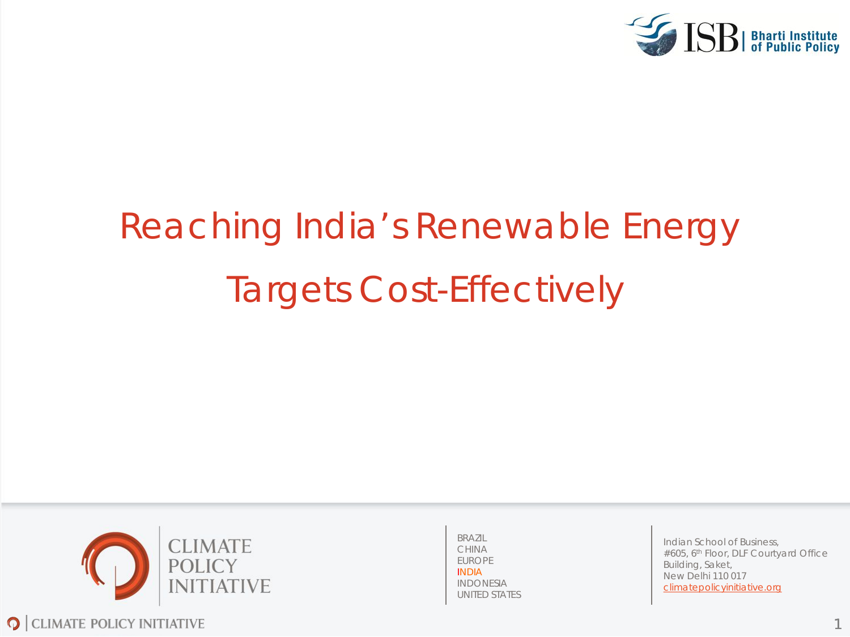

# Reaching India's Renewable Energy Targets Cost-Effectively



BRAZIL CHINA EUROPE INDIA INDONESIA UNITED STATES

Indian School of Business, #605, 6<sup>th</sup> Floor, DLF Courtyard Office Building, Saket, New Delhi 110 017 climatepolicyinitiative.org

1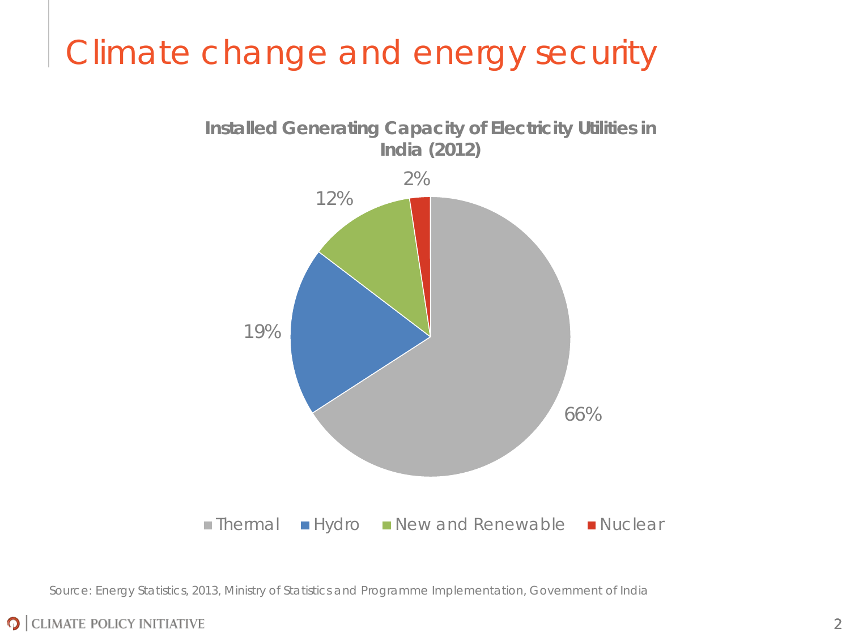# Climate change and energy security



Source: Energy Statistics, 2013, Ministry of Statistics and Programme Implementation, Government of India

#### **O** CLIMATE POLICY INITIATIVE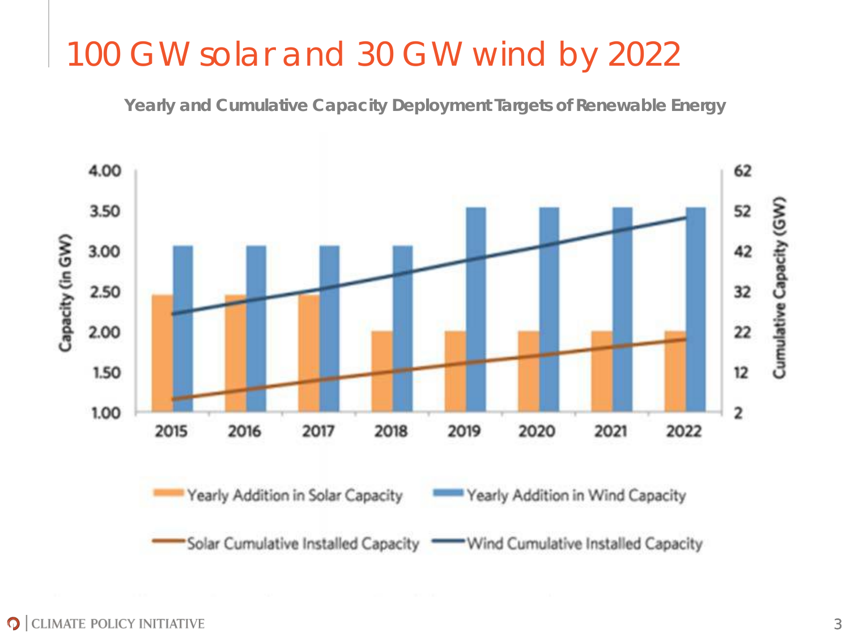### 100 GW solar and 30 GW wind by 2022

**Yearly and Cumulative Capacity Deployment Targets of Renewable Energy**

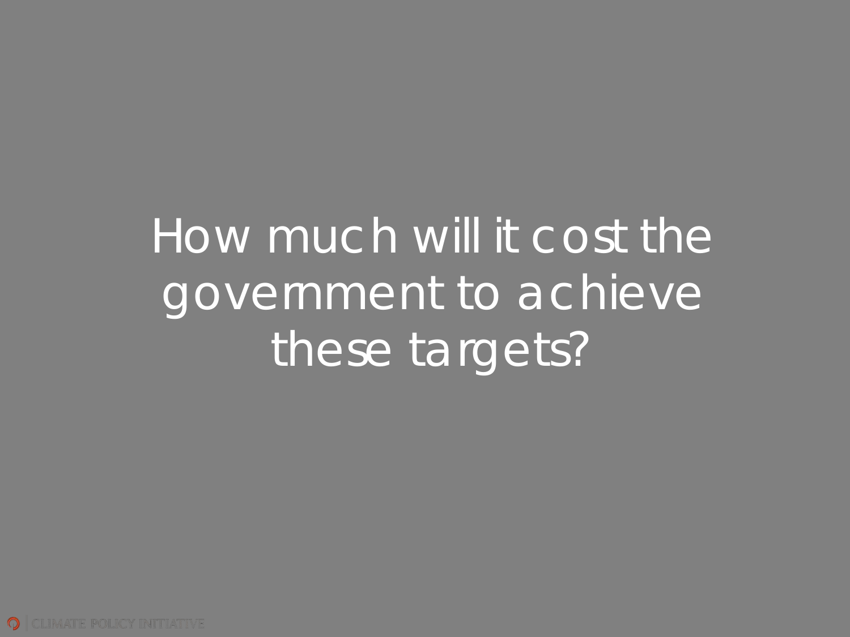# How much will it cost the government to achieve these targets?

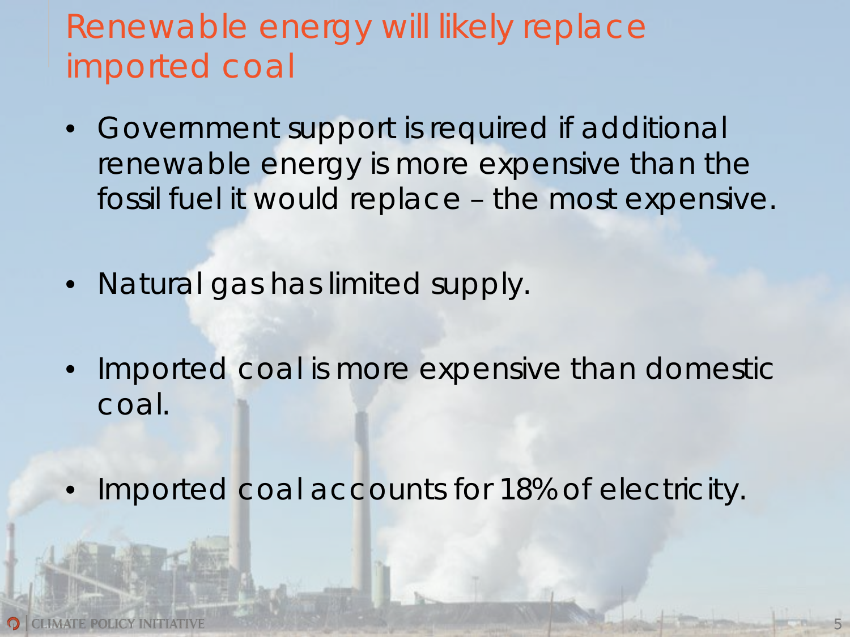# Renewable energy will likely replace imported coal

- Government support is required if additional renewable energy is more expensive than the fossil fuel it would replace – the most expensive.
- Natural gas has limited supply.
- Imported coal is more expensive than domestic coal.
- Imported coal accounts for 18% of electricity.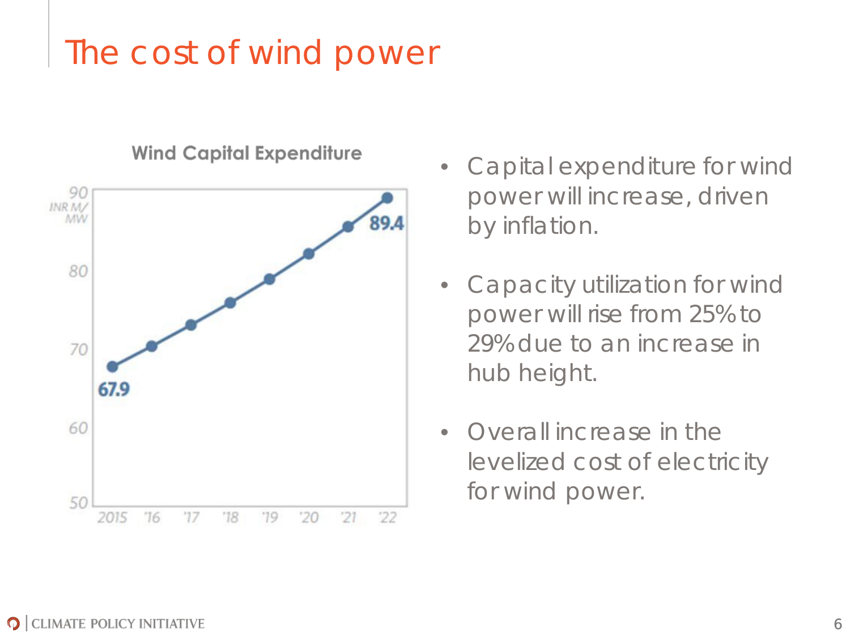# The cost of wind power



#### **Wind Capital Expenditure**

- Capital expenditure for wind power will increase, driven by inflation.
- Capacity utilization for wind power will rise from 25% to 29% due to an increase in hub height.
- Overall increase in the levelized cost of electricity for wind power.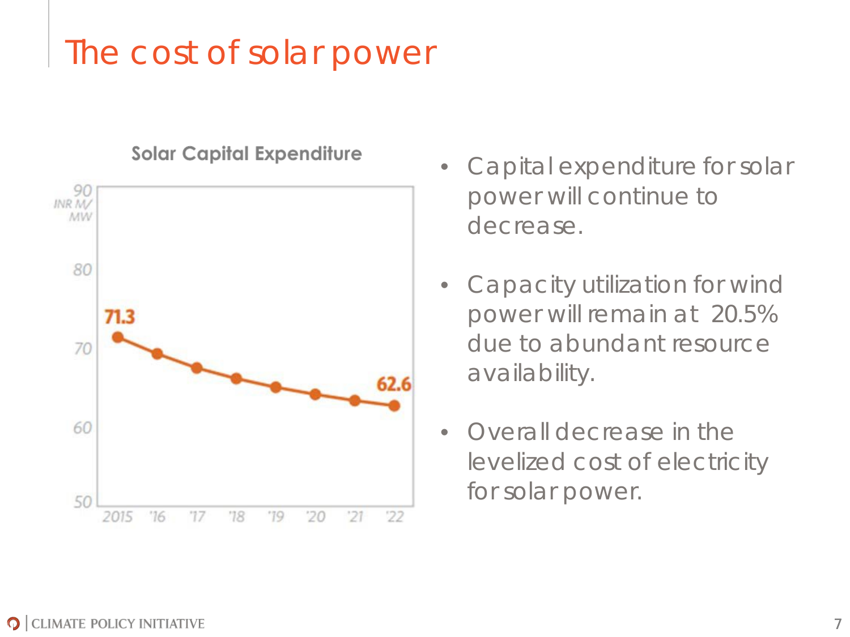# The cost of solar power



#### **Solar Capital Expenditure**

- Capital expenditure for solar power will continue to decrease.
- Capacity utilization for wind power will remain at 20.5% due to abundant resource availability.
- Overall decrease in the levelized cost of electricity for solar power.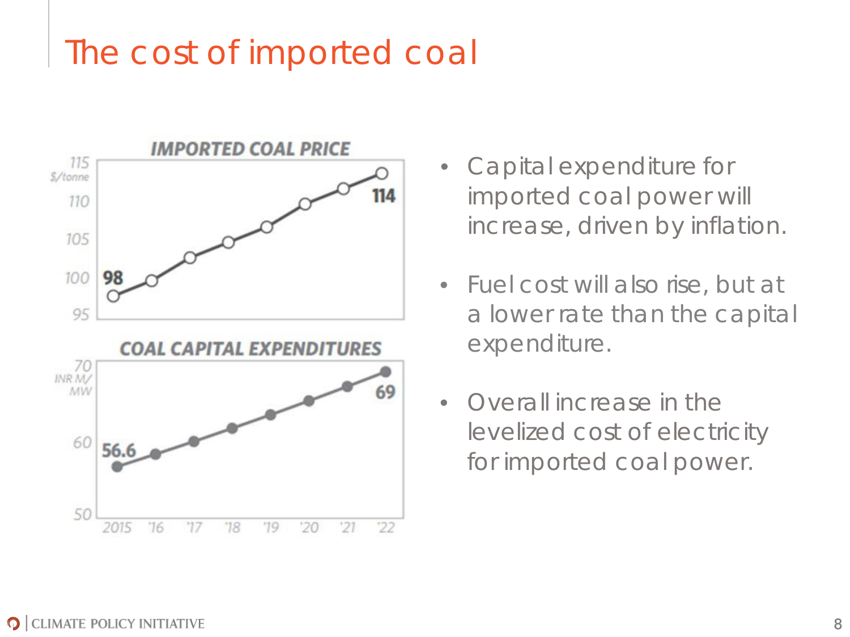### The cost of imported coal



- Capital expenditure for imported coal power will increase, driven by inflation.
- Fuel cost will also rise, but at a lower rate than the capital expenditure.
- Overall increase in the levelized cost of electricity for imported coal power.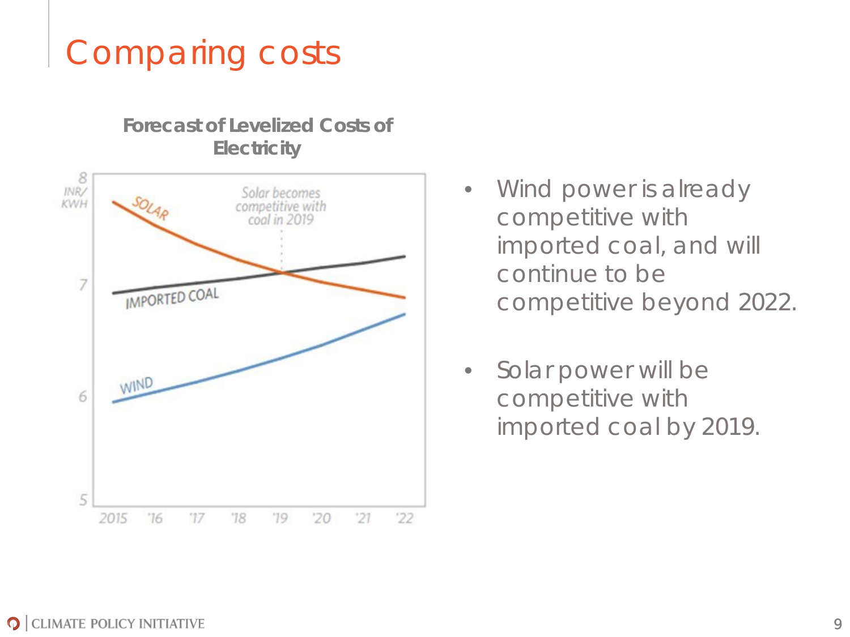# Comparing costs

#### **Forecast of Levelized Costs of Electricity**



- Wind power is already competitive with imported coal, and will continue to be competitive beyond 2022.
- Solar power will be competitive with imported coal by 2019.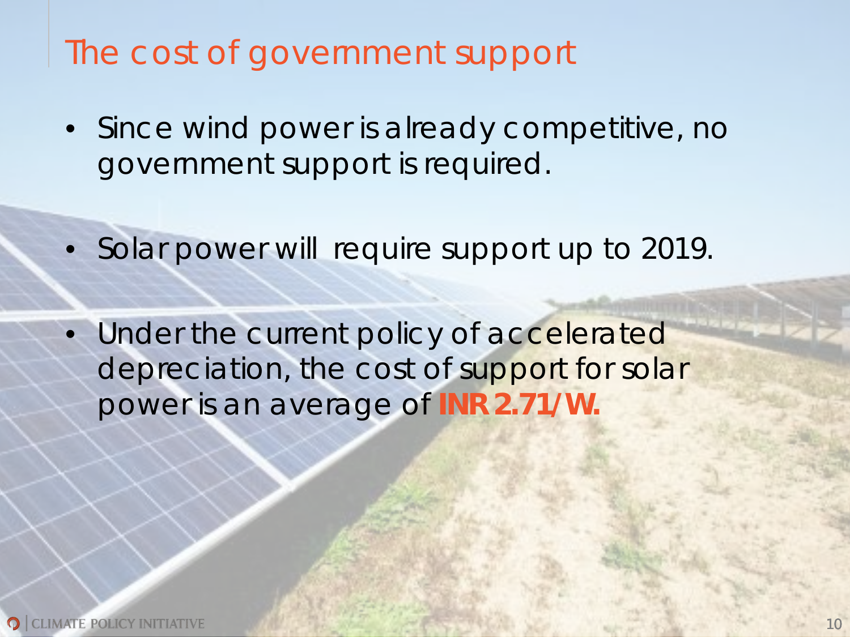### The cost of government support

- Since wind power is already competitive, no government support is required.
- Solar power will require support up to 2019.
- Under the current policy of accelerated depreciation, the cost of support for solar power is an average of **INR 2.71/W.**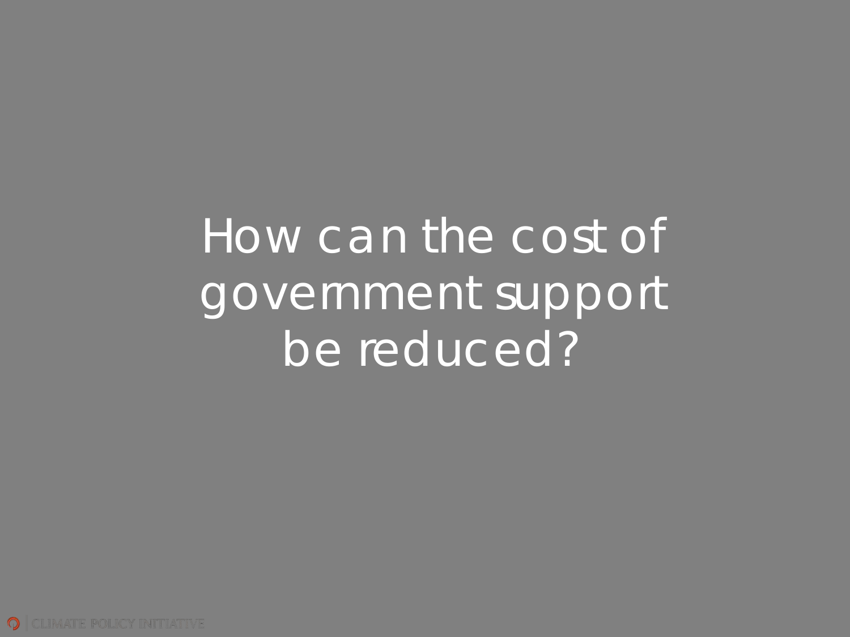How can the cost of government support be reduced?

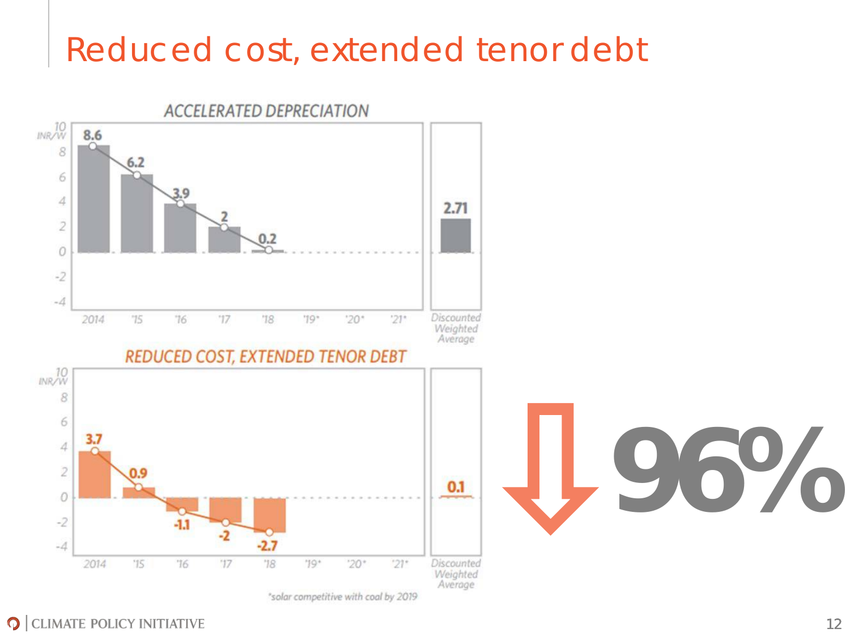### Reduced cost, extended tenor debt



O CLIMATE POLICY INITIATIVE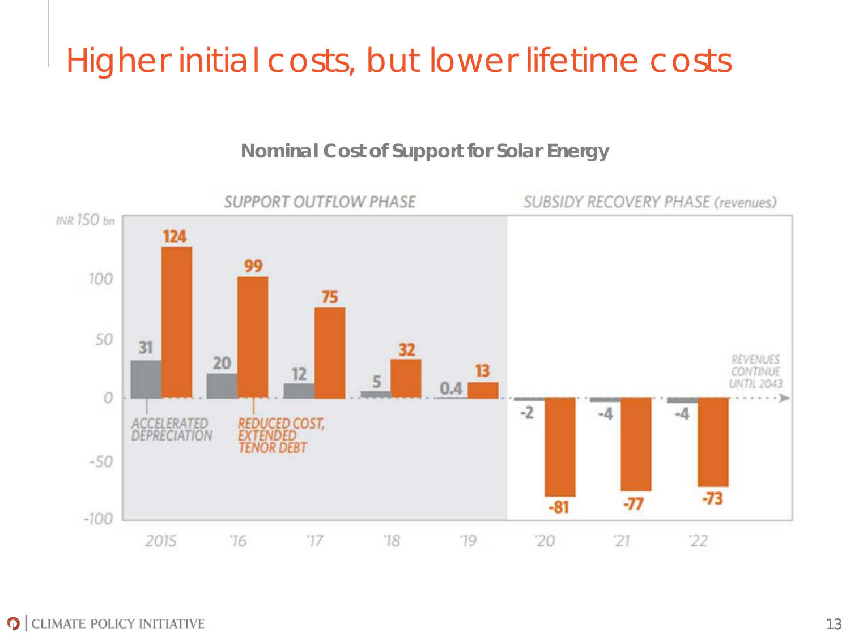# Higher initial costs, but lower lifetime costs

#### **Nominal Cost of Support for Solar Energy**

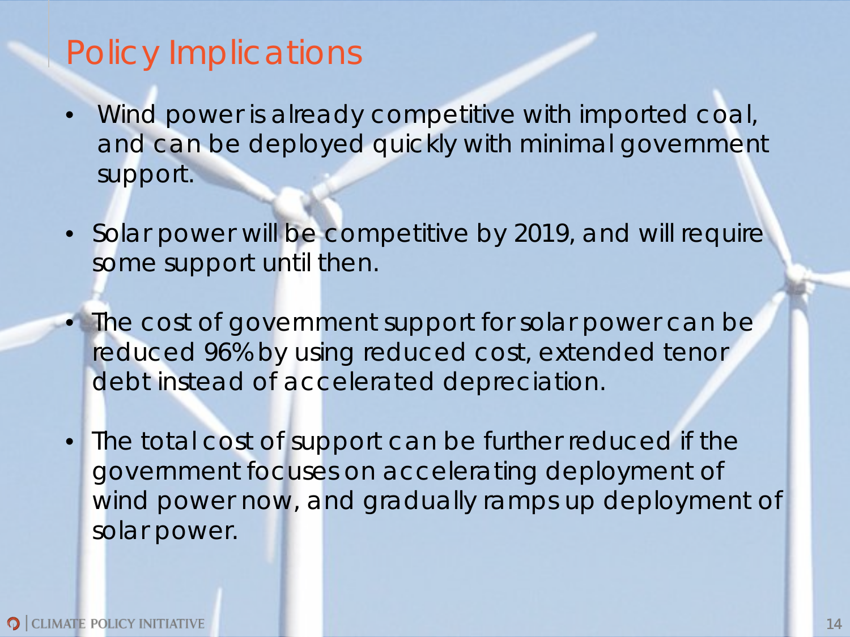### Policy Implications

- Wind power is already competitive with imported coal, and can be deployed quickly with minimal government support.
- Solar power will be competitive by 2019, and will require some support until then.
- The cost of government support for solar power can be reduced 96% by using reduced cost, extended tenor debt instead of accelerated depreciation.
- The total cost of support can be further reduced if the government focuses on accelerating deployment of wind power now, and gradually ramps up deployment of solar power.